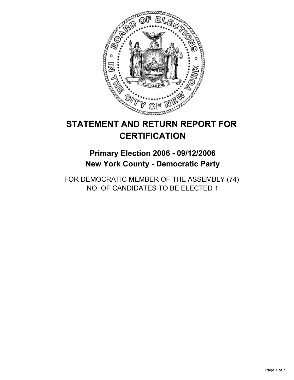

# **STATEMENT AND RETURN REPORT FOR CERTIFICATION**

## **Primary Election 2006 - 09/12/2006 New York County - Democratic Party**

FOR DEMOCRATIC MEMBER OF THE ASSEMBLY (74) NO. OF CANDIDATES TO BE ELECTED 1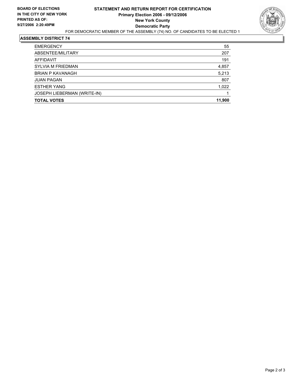

#### **ASSEMBLY DISTRICT 74**

| <b>TOTAL VOTES</b>          | 11,900 |
|-----------------------------|--------|
| JOSEPH LIEBERMAN (WRITE-IN) |        |
| <b>ESTHER YANG</b>          | 1,022  |
| <b>JUAN PAGAN</b>           | 807    |
| <b>BRIAN P KAVANAGH</b>     | 5,213  |
| <b>SYLVIA M FRIEDMAN</b>    | 4,857  |
| AFFIDAVIT                   | 191    |
| ABSENTEE/MILITARY           | 207    |
| <b>EMERGENCY</b>            | 55     |